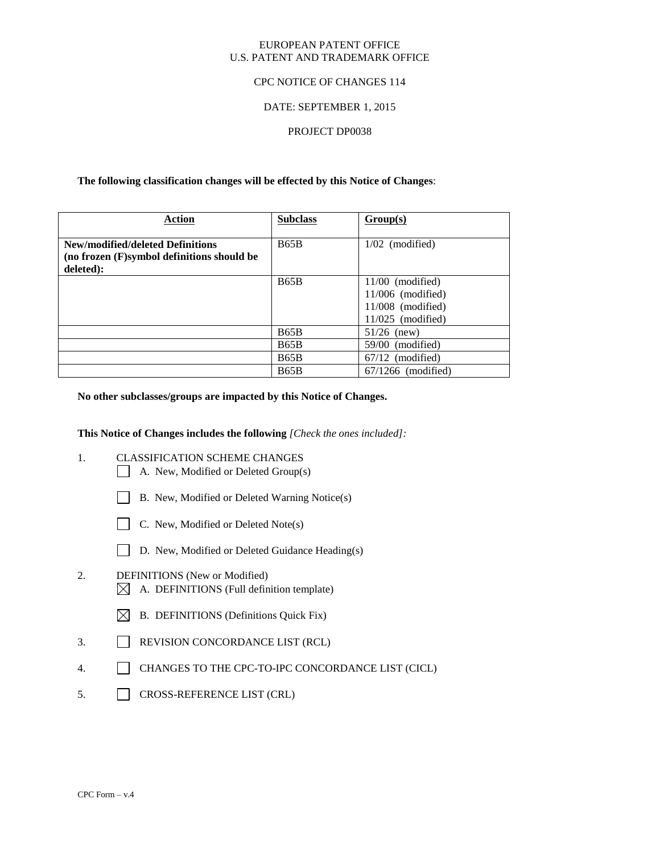#### EUROPEAN PATENT OFFICE U.S. PATENT AND TRADEMARK OFFICE

#### CPC NOTICE OF CHANGES 114

#### DATE: SEPTEMBER 1, 2015

#### PROJECT DP0038

#### **The following classification changes will be effected by this Notice of Changes**:

| Action                                                                                      | <b>Subclass</b> | Group(s)                                                                                |
|---------------------------------------------------------------------------------------------|-----------------|-----------------------------------------------------------------------------------------|
| New/modified/deleted Definitions<br>(no frozen (F)symbol definitions should be<br>deleted): | <b>B65B</b>     | $1/02$ (modified)                                                                       |
|                                                                                             | <b>B65B</b>     | $11/00$ (modified)<br>$11/006$ (modified)<br>$11/008$ (modified)<br>$11/025$ (modified) |
|                                                                                             | B65B            | $51/26$ (new)                                                                           |
|                                                                                             | <b>B65B</b>     | $59/00$ (modified)                                                                      |
|                                                                                             | <b>B65B</b>     | $67/12$ (modified)                                                                      |
|                                                                                             | <b>B65B</b>     | $67/1266$ (modified)                                                                    |

#### **No other subclasses/groups are impacted by this Notice of Changes.**

#### **This Notice of Changes includes the following** *[Check the ones included]:*

- 1. CLASSIFICATION SCHEME CHANGES
	- A. New, Modified or Deleted Group(s)
	- B. New, Modified or Deleted Warning Notice(s)
	- $\Box$  C. New, Modified or Deleted Note(s)
	- D. New, Modified or Deleted Guidance Heading(s)

## 2. DEFINITIONS (New or Modified)  $\boxtimes$  A. DEFINITIONS (Full definition template)

- $\boxtimes$  B. DEFINITIONS (Definitions Quick Fix)
- 3. REVISION CONCORDANCE LIST (RCL)
- 4. CHANGES TO THE CPC-TO-IPC CONCORDANCE LIST (CICL)
- 5. CROSS-REFERENCE LIST (CRL)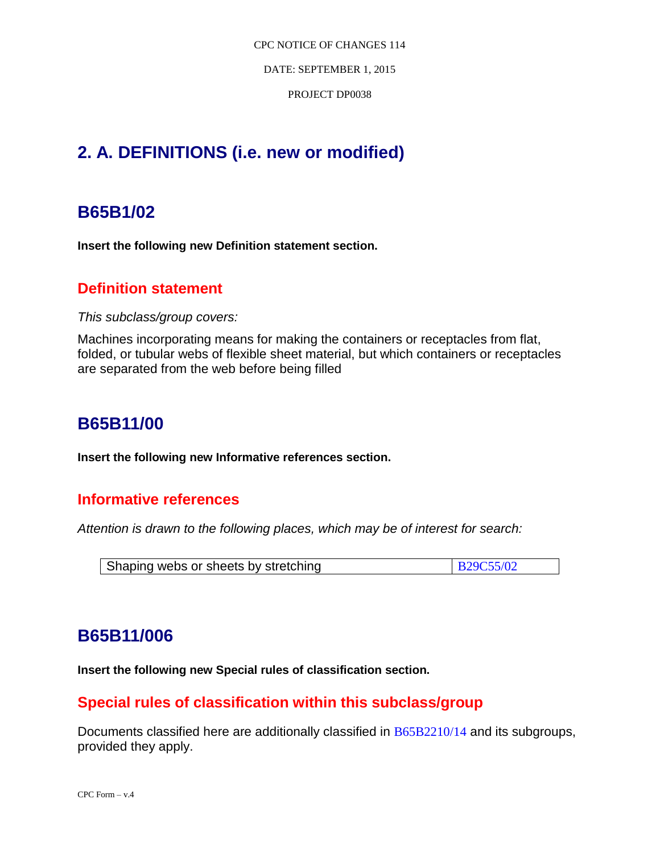DATE: SEPTEMBER 1, 2015

PROJECT DP0038

# **2. A. DEFINITIONS (i.e. new or modified)**

# **B65B1/02**

**Insert the following new Definition statement section.**

# **Definition statement**

*This subclass/group covers:*

Machines incorporating means for making the containers or receptacles from flat, folded, or tubular webs of flexible sheet material, but which containers or receptacles are separated from the web before being filled

# **B65B11/00**

**Insert the following new Informative references section.**

## **Informative references**

*Attention is drawn to the following places, which may be of interest for search:*

| Shaping webs or sheets by stretching | <b>B29C55/02</b> |
|--------------------------------------|------------------|
|--------------------------------------|------------------|

# **B65B11/006**

**Insert the following new Special rules of classification section.**

# **Special rules of classification within this subclass/group**

Documents classified here are additionally classified in B65B2210/14 and its subgroups, provided they apply.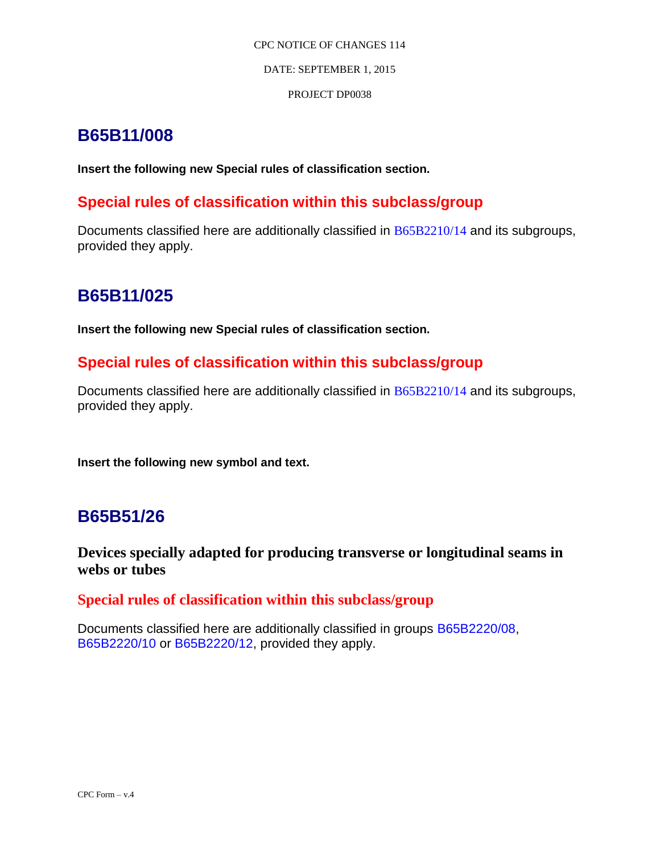### DATE: SEPTEMBER 1, 2015

## PROJECT DP0038

# **B65B11/008**

**Insert the following new Special rules of classification section.**

# **Special rules of classification within this subclass/group**

Documents classified here are additionally classified in B65B2210/14 and its subgroups, provided they apply.

# **B65B11/025**

**Insert the following new Special rules of classification section.**

# **Special rules of classification within this subclass/group**

Documents classified here are additionally classified in B65B2210/14 and its subgroups, provided they apply.

**Insert the following new symbol and text.**

# **B65B51/26**

**Devices specially adapted for producing transverse or longitudinal seams in webs or tubes**

## **Special rules of classification within this subclass/group**

Documents classified here are additionally classified in groups B65B2220/08, B65B2220/10 or B65B2220/12, provided they apply.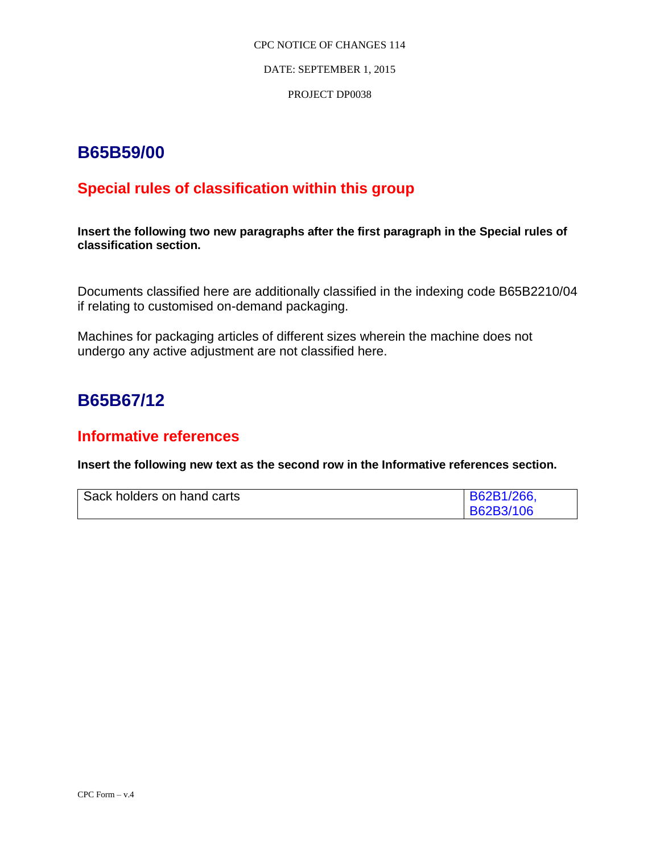DATE: SEPTEMBER 1, 2015

### PROJECT DP0038

# **B65B59/00**

# **Special rules of classification within this group**

**Insert the following two new paragraphs after the first paragraph in the Special rules of classification section.**

Documents classified here are additionally classified in the indexing code B65B2210/04 if relating to customised on-demand packaging.

Machines for packaging articles of different sizes wherein the machine does not undergo any active adjustment are not classified here.

# **B65B67/12**

# **Informative references**

**Insert the following new text as the second row in the Informative references section.**

| Sack holders on hand carts | $\mid$ B62B1/266, |
|----------------------------|-------------------|
|                            | <b>B62B3/106</b>  |